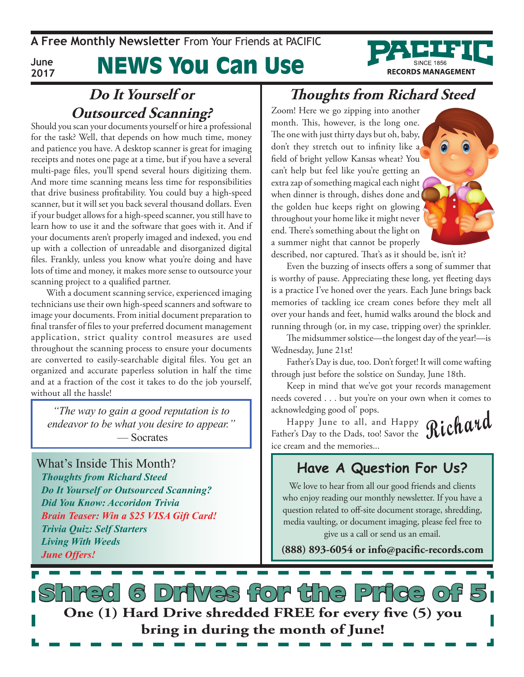**A Free Monthly Newsletter** From Your Friends at PaciFic

**June 2017**

### News You Can Use

# **RECORDS MANAGEMENT**

#### **Do It Yourself or Outsourced Scanning?**

Should you scan your documents yourself or hire a professional for the task? Well, that depends on how much time, money and patience you have. A desktop scanner is great for imaging receipts and notes one page at a time, but if you have a several multi-page files, you'll spend several hours digitizing them. And more time scanning means less time for responsibilities that drive business profitability. You could buy a high-speed scanner, but it will set you back several thousand dollars. Even if your budget allows for a high-speed scanner, you still have to learn how to use it and the software that goes with it. And if your documents aren't properly imaged and indexed, you end up with a collection of unreadable and disorganized digital files. Frankly, unless you know what you're doing and have lots of time and money, it makes more sense to outsource your scanning project to a qualified partner.

With a document scanning service, experienced imaging technicians use their own high-speed scanners and software to image your documents. From initial document preparation to final transfer of files to your preferred document management application, strict quality control measures are used throughout the scanning process to ensure your documents are converted to easily-searchable digital files. You get an organized and accurate paperless solution in half the time and at a fraction of the cost it takes to do the job yourself, without all the hassle!

*"The way to gain a good reputation is to endeavor to be what you desire to appear."* — Socrates

What's Inside This Month? *Thoughts from Richard Steed Do It Yourself or Outsourced Scanning? Did You Know: Accoridon Trivia Brain Teaser: Win a \$25 VISA Gift Card! Trivia Quiz: Self Starters Living With Weeds June Offers!*

#### **Thoughts from Richard Steed**

Zoom! Here we go zipping into another month. This, however, is the long one. The one with just thirty days but oh, baby, don't they stretch out to infinity like a field of bright yellow Kansas wheat? You can't help but feel like you're getting an extra zap of something magical each night when dinner is through, dishes done and the golden hue keeps right on glowing throughout your home like it might never end. There's something about the light on a summer night that cannot be properly



described, nor captured. That's as it should be, isn't it?

Even the buzzing of insects offers a song of summer that is worthy of pause. Appreciating these long, yet fleeting days is a practice I've honed over the years. Each June brings back memories of tackling ice cream cones before they melt all over your hands and feet, humid walks around the block and running through (or, in my case, tripping over) the sprinkler.

The midsummer solstice—the longest day of the year!—is Wednesday, June 21st!

Father's Day is due, too. Don't forget! It will come wafting through just before the solstice on Sunday, June 18th.

Keep in mind that we've got your records management needs covered . . . but you're on your own when it comes to acknowledging good ol' pops.

**Richard** Happy June to all, and Happy Father's Day to the Dads, too! Savor the ice cream and the memories...

#### **Have A Question For Us?**

We love to hear from all our good friends and clients who enjoy reading our monthly newsletter. If you have a question related to off-site document storage, shredding, media vaulting, or document imaging, please feel free to give us a call or send us an email.

**(888) 893-6054 or info@pacific-records.com**

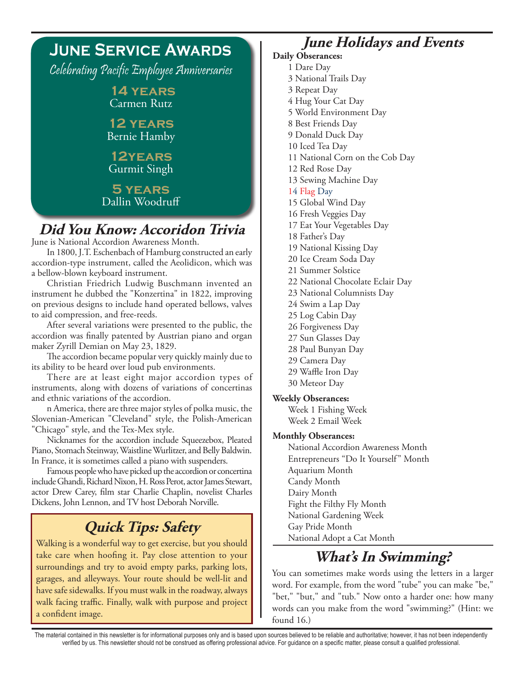

#### **Did You Know: Accoridon Trivia**

June is National Accordion Awareness Month.

In 1800, J.T. Eschenbach of Hamburg constructed an early accordion-type instrument, called the Aeolidicon, which was a bellow-blown keyboard instrument.

Christian Friedrich Ludwig Buschmann invented an instrument he dubbed the "Konzertina" in 1822, improving on previous designs to include hand operated bellows, valves to aid compression, and free-reeds.

After several variations were presented to the public, the accordion was finally patented by Austrian piano and organ maker Zyrill Demian on May 23, 1829.

The accordion became popular very quickly mainly due to its ability to be heard over loud pub environments.

There are at least eight major accordion types of instruments, along with dozens of variations of concertinas and ethnic variations of the accordion.

n America, there are three major styles of polka music, the Slovenian-American "Cleveland" style, the Polish-American "Chicago" style, and the Tex-Mex style.

Nicknames for the accordion include Squeezebox, Pleated Piano, Stomach Steinway, Waistline Wurlitzer, and Belly Baldwin. In France, it is sometimes called a piano with suspenders.

Famous people who have picked up the accordion or concertina include Ghandi, Richard Nixon, H. Ross Perot, actor James Stewart, actor Drew Carey, film star Charlie Chaplin, novelist Charles Dickens, John Lennon, and TV host Deborah Norville.

#### **Quick Tips: Safety**

Walking is a wonderful way to get exercise, but you should take care when hoofing it. Pay close attention to your surroundings and try to avoid empty parks, parking lots, garages, and alleyways. Your route should be well-lit and have safe sidewalks. If you must walk in the roadway, always walk facing traffic. Finally, walk with purpose and project a confident image.

#### **June Holidays and Events**

#### **Daily Obserances:**

- 1 Dare Day
- 3 National Trails Day
- 3 Repeat Day
- 4 Hug Your Cat Day
- 5 World Environment Day
- 8 Best Friends Day
- 9 Donald Duck Day
- 10 Iced Tea Day
- 11 National Corn on the Cob Day
- 12 Red Rose Day
- 13 Sewing Machine Day
- 14 Flag Day
- 15 Global Wind Day
- 16 Fresh Veggies Day
- 17 Eat Your Vegetables Day
- 18 Father's Day
- 19 National Kissing Day
- 20 Ice Cream Soda Day
- 21 Summer Solstice
- 22 National Chocolate Eclair Day
- 23 National Columnists Day
- 24 Swim a Lap Day
- 25 Log Cabin Day
- 26 Forgiveness Day
- 27 Sun Glasses Day
- 28 Paul Bunyan Day
- 29 Camera Day
- 29 Waffle Iron Day
- 30 Meteor Day

#### **Weekly Obserances:**

Week 1 Fishing Week Week 2 Email Week

#### **Monthly Obserances:**

National Accordion Awareness Month Entrepreneurs "Do It Yourself" Month Aquarium Month Candy Month Dairy Month Fight the Filthy Fly Month National Gardening Week Gay Pride Month National Adopt a Cat Month

#### **What's In Swimming?**

You can sometimes make words using the letters in a larger word. For example, from the word "tube" you can make "be," "bet," "but," and "tub." Now onto a harder one: how many words can you make from the word "swimming?" (Hint: we found 16.)

The material contained in this newsletter is for informational purposes only and is based upon sources believed to be reliable and authoritative; however, it has not been independently verified by us. This newsletter should not be construed as offering professional advice. For guidance on a specific matter, please consult a qualified professional.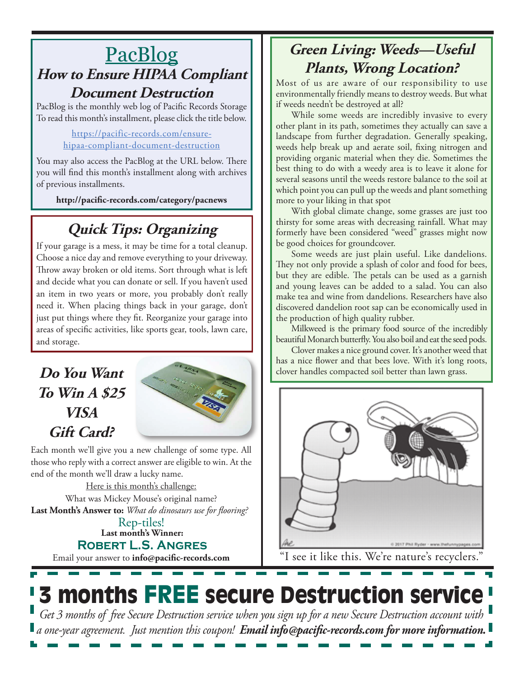#### **PacBlog How to Ensure HIPAA Compliant Document Destruction**

PacBlog is the monthly web log of Pacific Records Storage To read this month's installment, please click the title below.

#### https://pacific-records.com/ensurehipaa-compliant-document-destruction

You may also access the PacBlog at the URL below. There you will find this month's installment along with archives of previous installments.

**http://pacific-records.com/category/pacnews**

### **Quick Tips: Organizing**

If your garage is a mess, it may be time for a total cleanup. Choose a nice day and remove everything to your driveway. Throw away broken or old items. Sort through what is left and decide what you can donate or sell. If you haven't used an item in two years or more, you probably don't really need it. When placing things back in your garage, don't just put things where they fit. Reorganize your garage into areas of specific activities, like sports gear, tools, lawn care, and storage.

#### **Do You Want To Win A \$25 VISA Gift Card?**



Each month we'll give you a new challenge of some type. All those who reply with a correct answer are eligible to win. At the end of the month we'll draw a lucky name.

Here is this month's challenge: **Last Month's Answer to:** *What do dinosaurs use for flooring?* What was Mickey Mouse's original name?

**Last month's Winner: Robert L.S. Angres** Rep-tiles!

Email your answer to **info@pacific-records.com**

#### **Green Living: Weeds—Useful Plants, Wrong Location?**

Most of us are aware of our responsibility to use environmentally friendly means to destroy weeds. But what if weeds needn't be destroyed at all?

While some weeds are incredibly invasive to every other plant in its path, sometimes they actually can save a landscape from further degradation. Generally speaking, weeds help break up and aerate soil, fixing nitrogen and providing organic material when they die. Sometimes the best thing to do with a weedy area is to leave it alone for several seasons until the weeds restore balance to the soil at which point you can pull up the weeds and plant something more to your liking in that spot

With global climate change, some grasses are just too thirsty for some areas with decreasing rainfall. What may formerly have been considered "weed" grasses might now be good choices for groundcover.

Some weeds are just plain useful. Like dandelions. They not only provide a splash of color and food for bees, but they are edible. The petals can be used as a garnish and young leaves can be added to a salad. You can also make tea and wine from dandelions. Researchers have also discovered dandelion root sap can be economically used in the production of high quality rubber.

Milkweed is the primary food source of the incredibly beautiful Monarch butterfly. You also boil and eat the seed pods.

Clover makes a nice ground cover. It's another weed that has a nice flower and that bees love. With it's long roots, clover handles compacted soil better than lawn grass.



"I see it like this. We're nature's recyclers."

## **3 months FREE secure Destruction service**

*Get 3 months of free Secure Destruction service when you sign up for a new Secure Destruction account with a one-year agreement. Just mention this coupon! Email info@pacific-records.com for more information.*